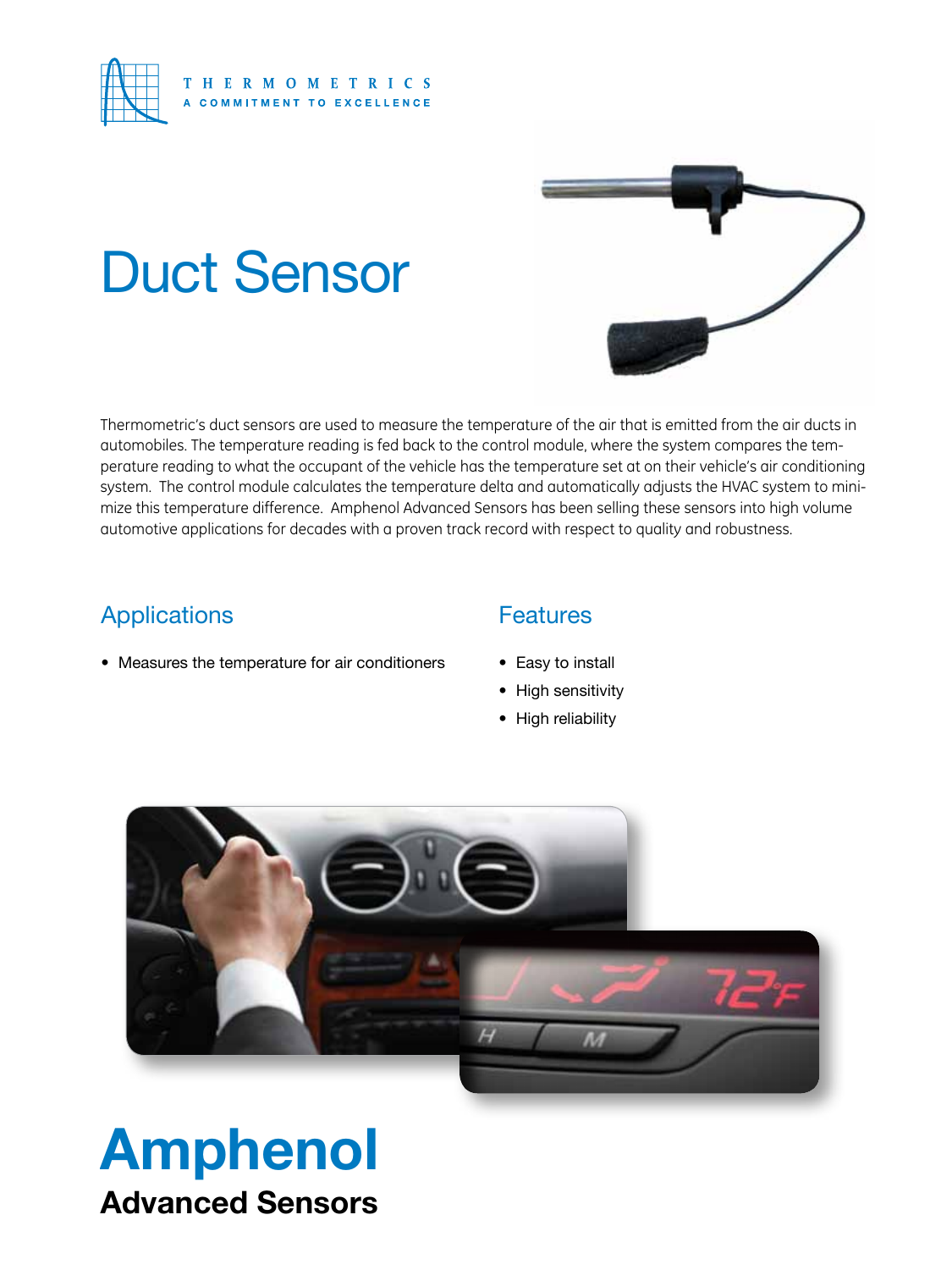

# Duct Sensor



Thermometric's duct sensors are used to measure the temperature of the air that is emitted from the air ducts in automobiles. The temperature reading is fed back to the control module, where the system compares the temperature reading to what the occupant of the vehicle has the temperature set at on their vehicle's air conditioning system. The control module calculates the temperature delta and automatically adjusts the HVAC system to minimize this temperature difference. Amphenol Advanced Sensors has been selling these sensors into high volume automotive applications for decades with a proven track record with respect to quality and robustness.

### Applications

• Measures the temperature for air conditioners

#### **Features**

- Easy to install
- High sensitivity
- High reliability



## Amphenol Advanced Sensors